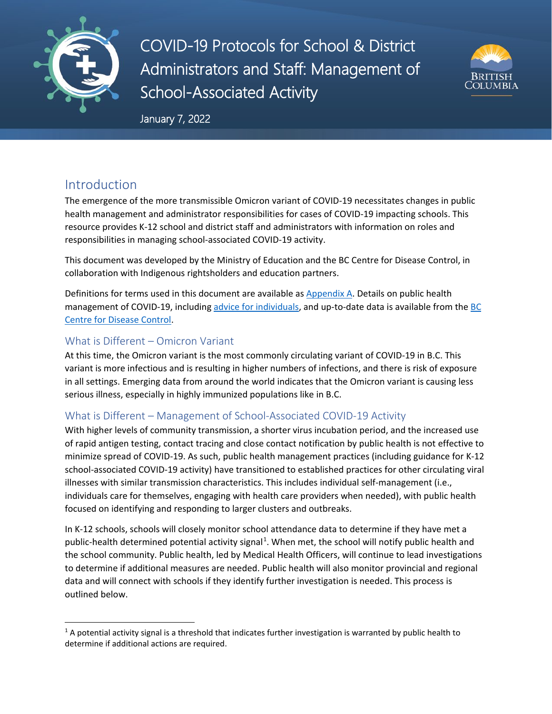

COVID-19 Protocols for School & District Administrators and Staff: Management of School-Associated Activity



January 7, 2022

## Introduction

The emergence of the more transmissible Omicron variant of COVID-19 necessitates changes in public health management and administrator responsibilities for cases of COVID-19 impacting schools. This resource provides K-12 school and district staff and administrators with information on roles and responsibilities in managing school-associated COVID-19 activity.

This document was developed by the Ministry of Education and the BC Centre for Disease Control, in collaboration with Indigenous rightsholders and education partners.

Definitions for terms used in this document are available as [Appendix A.](#page-5-0) Details on public health management of COVID-19, including [advice for individuals,](http://www.bccdc.ca/health-info/diseases-conditions/covid-19/if-you-have-covid-19) and up-to-date data is available from the [BC](http://www.bccdc.ca/health-info/diseases-conditions/covid-19/if-you-have-covid-19)  [Centre for Disease Control.](http://www.bccdc.ca/health-info/diseases-conditions/covid-19/if-you-have-covid-19)

### What is Different – Omicron Variant

At this time, the Omicron variant is the most commonly circulating variant of COVID-19 in B.C. This variant is more infectious and is resulting in higher numbers of infections, and there is risk of exposure in all settings. Emerging data from around the world indicates that the Omicron variant is causing less serious illness, especially in highly immunized populations like in B.C.

### What is Different – Management of School-Associated COVID-19 Activity

With higher levels of community transmission, a shorter virus incubation period, and the increased use of rapid antigen testing, contact tracing and close contact notification by public health is not effective to minimize spread of COVID-19. As such, public health management practices (including guidance for K-12 school-associated COVID-19 activity) have transitioned to established practices for other circulating viral illnesses with similar transmission characteristics. This includes individual self-management (i.e., individuals care for themselves, engaging with health care providers when needed), with public health focused on identifying and responding to larger clusters and outbreaks.

In K-12 schools, schools will closely monitor school attendance data to determine if they have met a public-health determined potential activity signal<sup>[1](#page-0-0)</sup>. When met, the school will notify public health and the school community. Public health, led by Medical Health Officers, will continue to lead investigations to determine if additional measures are needed. Public health will also monitor provincial and regional data and will connect with schools if they identify further investigation is needed. This process is outlined below.

<span id="page-0-0"></span> $1$  A potential activity signal is a threshold that indicates further investigation is warranted by public health to determine if additional actions are required.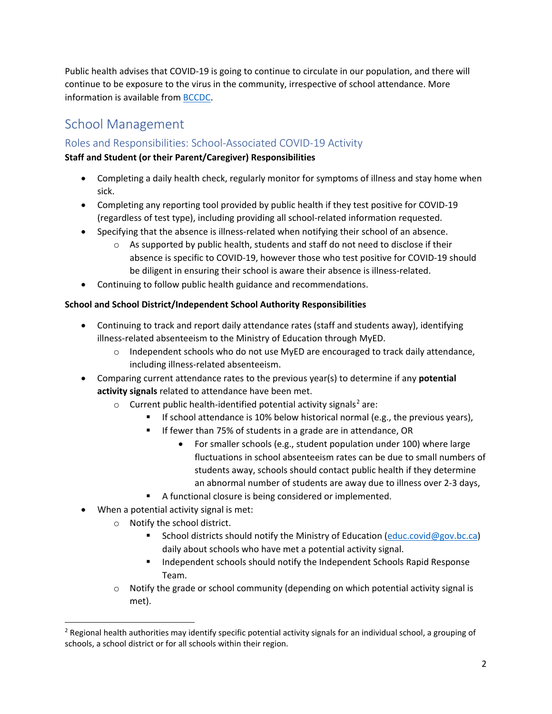Public health advises that COVID-19 is going to continue to circulate in our population, and there will continue to be exposure to the virus in the community, irrespective of school attendance. More information is available from [BCCDC.](http://www.bccdc.ca/health-info/diseases-conditions/covid-19/testing)

## School Management

## Roles and Responsibilities: School-Associated COVID-19 Activity

#### **Staff and Student (or their Parent/Caregiver) Responsibilities**

- Completing a daily health check, regularly monitor for symptoms of illness and stay home when sick.
- Completing any reporting tool provided by public health if they test positive for COVID-19 (regardless of test type), including providing all school-related information requested.
- Specifying that the absence is illness-related when notifying their school of an absence.
	- $\circ$  As supported by public health, students and staff do not need to disclose if their absence is specific to COVID-19, however those who test positive for COVID-19 should be diligent in ensuring their school is aware their absence is illness-related.
- Continuing to follow public health guidance and recommendations.

#### **School and School District/Independent School Authority Responsibilities**

- Continuing to track and report daily attendance rates (staff and students away), identifying illness-related absenteeism to the Ministry of Education through MyED.
	- $\circ$  Independent schools who do not use MyED are encouraged to track daily attendance, including illness-related absenteeism.
- Comparing current attendance rates to the previous year(s) to determine if any **potential activity signals** related to attendance have been met.
	- $\circ$  Current public health-identified potential activity signals<sup>[2](#page-1-0)</sup> are:
		- If school attendance is 10% below historical normal (e.g., the previous years),
		- **If fewer than 75% of students in a grade are in attendance, OR** 
			- For smaller schools (e.g., student population under 100) where large fluctuations in school absenteeism rates can be due to small numbers of students away, schools should contact public health if they determine an abnormal number of students are away due to illness over 2-3 days,
		- A functional closure is being considered or implemented.
- When a potential activity signal is met:
	- o Notify the school district.
		- School districts should notify the Ministry of Education [\(educ.covid@gov.bc.ca\)](mailto:educ.covid@gov.bc.ca) daily about schools who have met a potential activity signal.
		- Independent schools should notify the Independent Schools Rapid Response Team.
	- $\circ$  Notify the grade or school community (depending on which potential activity signal is met).

<span id="page-1-0"></span> $<sup>2</sup>$  Regional health authorities may identify specific potential activity signals for an individual school, a grouping of</sup> schools, a school district or for all schools within their region.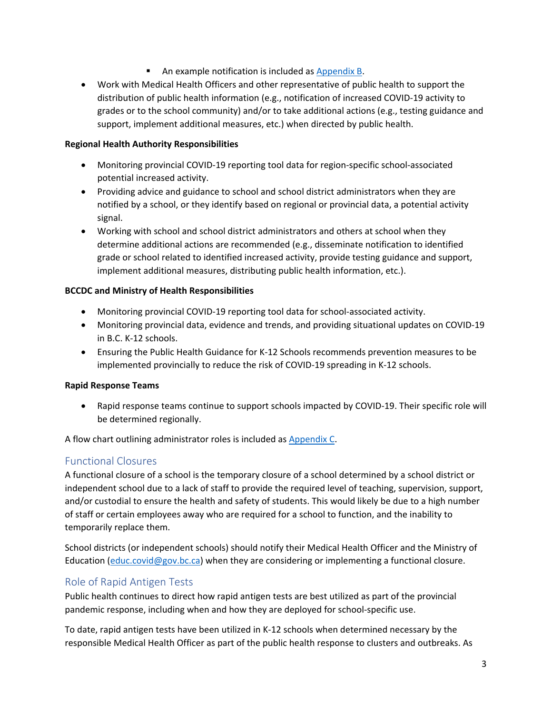- **An example notification is included as [Appendix B.](#page-6-0)**
- Work with Medical Health Officers and other representative of public health to support the distribution of public health information (e.g., notification of increased COVID-19 activity to grades or to the school community) and/or to take additional actions (e.g., testing guidance and support, implement additional measures, etc.) when directed by public health.

#### **Regional Health Authority Responsibilities**

- Monitoring provincial COVID-19 reporting tool data for region-specific school-associated potential increased activity.
- Providing advice and guidance to school and school district administrators when they are notified by a school, or they identify based on regional or provincial data, a potential activity signal.
- Working with school and school district administrators and others at school when they determine additional actions are recommended (e.g., disseminate notification to identified grade or school related to identified increased activity, provide testing guidance and support, implement additional measures, distributing public health information, etc.).

#### **BCCDC and Ministry of Health Responsibilities**

- Monitoring provincial COVID-19 reporting tool data for school-associated activity.
- Monitoring provincial data, evidence and trends, and providing situational updates on COVID-19 in B.C. K-12 schools.
- Ensuring the Public Health Guidance for K-12 Schools recommends prevention measures to be implemented provincially to reduce the risk of COVID-19 spreading in K-12 schools.

#### **Rapid Response Teams**

• Rapid response teams continue to support schools impacted by COVID-19. Their specific role will be determined regionally.

A flow chart outlining administrator roles is included as [Appendix](#page-7-0) C.

### Functional Closures

A functional closure of a school is the temporary closure of a school determined by a school district or independent school due to a lack of staff to provide the required level of teaching, supervision, support, and/or custodial to ensure the health and safety of students. This would likely be due to a high number of staff or certain employees away who are required for a school to function, and the inability to temporarily replace them.

School districts (or independent schools) should notify their Medical Health Officer and the Ministry of Education [\(educ.covid@gov.bc.ca\)](mailto:educ.covid@gov.bc.ca) when they are considering or implementing a functional closure.

### Role of Rapid Antigen Tests

Public health continues to direct how rapid antigen tests are best utilized as part of the provincial pandemic response, including when and how they are deployed for school-specific use.

To date, rapid antigen tests have been utilized in K-12 schools when determined necessary by the responsible Medical Health Officer as part of the public health response to clusters and outbreaks. As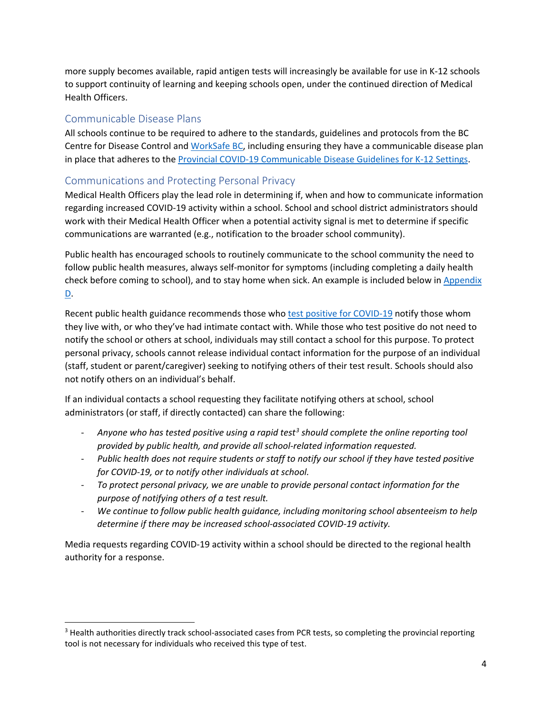more supply becomes available, rapid antigen tests will increasingly be available for use in K-12 schools to support continuity of learning and keeping schools open, under the continued direction of Medical Health Officers.

#### Communicable Disease Plans

All schools continue to be required to adhere to the standards, guidelines and protocols from the BC Centre for Disease Control and [WorkSafe BC,](https://www.worksafebc.com/en/covid-19/bcs-four-step-restart) including ensuring they have a communicable disease plan in place that adheres to th[e Provincial COVID-19 Communicable Disease Guidelines for K-12 Settings.](https://www2.gov.bc.ca/assets/gov/education/administration/kindergarten-to-grade-12/safe-caring-orderly/k-12-covid-19-health-safety-guidlines.pdf)

### Communications and Protecting Personal Privacy

Medical Health Officers play the lead role in determining if, when and how to communicate information regarding increased COVID-19 activity within a school. School and school district administrators should work with their Medical Health Officer when a potential activity signal is met to determine if specific communications are warranted (e.g., notification to the broader school community).

Public health has encouraged schools to routinely communicate to the school community the need to follow public health measures, always self-monitor for symptoms (including completing a daily health check before coming to school), and to stay home when sick. An example is included below in Appendix [D.](#page-8-0)

Recent public health guidance recommends those wh[o test positive for COVID-19](http://www.bccdc.ca/Health-Info-Site/Documents/Tested-positive-COVID19.pdf) notify those whom they live with, or who they've had intimate contact with. While those who test positive do not need to notify the school or others at school, individuals may still contact a school for this purpose. To protect personal privacy, schools cannot release individual contact information for the purpose of an individual (staff, student or parent/caregiver) seeking to notifying others of their test result. Schools should also not notify others on an individual's behalf.

If an individual contacts a school requesting they facilitate notifying others at school, school administrators (or staff, if directly contacted) can share the following:

- *Anyone who has tested positive using a rapid test[3](#page-3-0) should complete the online reporting tool provided by public health, and provide all school-related information requested.*
- *Public health does not require students or staff to notify our school if they have tested positive for COVID-19, or to notify other individuals at school.*
- *To protect personal privacy, we are unable to provide personal contact information for the purpose of notifying others of a test result.*
- *We continue to follow public health guidance, including monitoring school absenteeism to help determine if there may be increased school-associated COVID-19 activity.*

Media requests regarding COVID-19 activity within a school should be directed to the regional health authority for a response.

<span id="page-3-0"></span><sup>&</sup>lt;sup>3</sup> Health authorities directly track school-associated cases from PCR tests, so completing the provincial reporting tool is not necessary for individuals who received this type of test.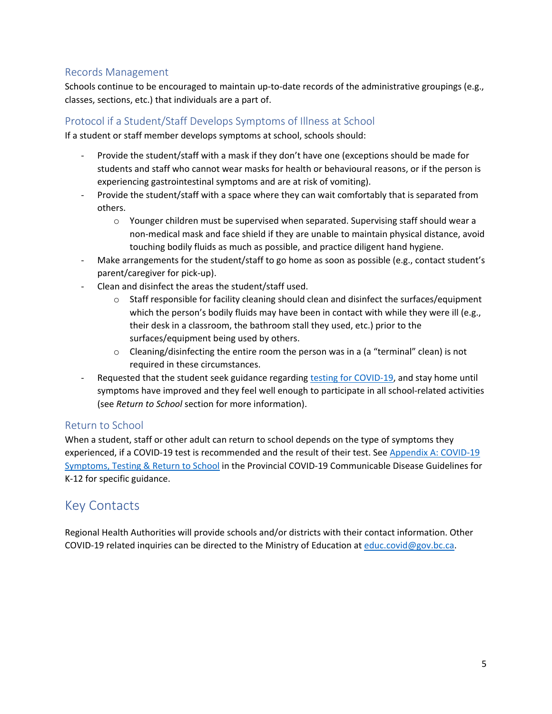### Records Management

Schools continue to be encouraged to maintain up-to-date records of the administrative groupings (e.g., classes, sections, etc.) that individuals are a part of.

### Protocol if a Student/Staff Develops Symptoms of Illness at School

If a student or staff member develops symptoms at school, schools should:

- Provide the student/staff with a mask if they don't have one (exceptions should be made for students and staff who cannot wear masks for health or behavioural reasons, or if the person is experiencing gastrointestinal symptoms and are at risk of vomiting).
- Provide the student/staff with a space where they can wait comfortably that is separated from others.
	- o Younger children must be supervised when separated. Supervising staff should wear a non-medical mask and face shield if they are unable to maintain physical distance, avoid touching bodily fluids as much as possible, and practice diligent hand hygiene.
- Make arrangements for the student/staff to go home as soon as possible (e.g., contact student's parent/caregiver for pick-up).
- Clean and disinfect the areas the student/staff used.
	- $\circ$  Staff responsible for facility cleaning should clean and disinfect the surfaces/equipment which the person's bodily fluids may have been in contact with while they were ill (e.g., their desk in a classroom, the bathroom stall they used, etc.) prior to the surfaces/equipment being used by others.
	- $\circ$  Cleaning/disinfecting the entire room the person was in a (a "terminal" clean) is not required in these circumstances.
- Requested that the student seek guidance regarding [testing for COVID-19,](http://www.bccdc.ca/health-info/diseases-conditions/covid-19/testing) and stay home until symptoms have improved and they feel well enough to participate in all school-related activities (see *Return to School* section for more information).

### Return to School

When a student, staff or other adult can return to school depends on the type of symptoms they experienced, if a COVID-19 test is recommended and the result of their test. See [Appendix A: COVID-19](https://www2.gov.bc.ca/assets/gov/education/administration/kindergarten-to-grade-12/safe-caring-orderly/k-12-covid-19-health-safety-guidlines.pdf#page=31)  [Symptoms, Testing & Return to School](https://www2.gov.bc.ca/assets/gov/education/administration/kindergarten-to-grade-12/safe-caring-orderly/k-12-covid-19-health-safety-guidlines.pdf#page=31) in the Provincial COVID-19 Communicable Disease Guidelines for K-12 for specific guidance.

## Key Contacts

Regional Health Authorities will provide schools and/or districts with their contact information. Other COVID-19 related inquiries can be directed to the Ministry of Education at [educ.covid@gov.bc.ca.](mailto:educ.covid@gov.bc.ca)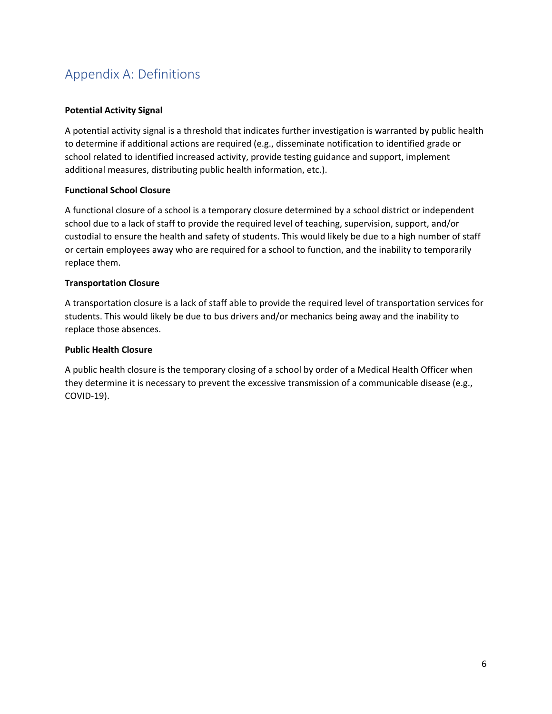# <span id="page-5-0"></span>Appendix A: Definitions

#### **Potential Activity Signal**

A potential activity signal is a threshold that indicates further investigation is warranted by public health to determine if additional actions are required (e.g., disseminate notification to identified grade or school related to identified increased activity, provide testing guidance and support, implement additional measures, distributing public health information, etc.).

#### **Functional School Closure**

A functional closure of a school is a temporary closure determined by a school district or independent school due to a lack of staff to provide the required level of teaching, supervision, support, and/or custodial to ensure the health and safety of students. This would likely be due to a high number of staff or certain employees away who are required for a school to function, and the inability to temporarily replace them.

#### **Transportation Closure**

A transportation closure is a lack of staff able to provide the required level of transportation services for students. This would likely be due to bus drivers and/or mechanics being away and the inability to replace those absences.

#### **Public Health Closure**

A public health closure is the temporary closing of a school by order of a Medical Health Officer when they determine it is necessary to prevent the excessive transmission of a communicable disease (e.g., COVID-19).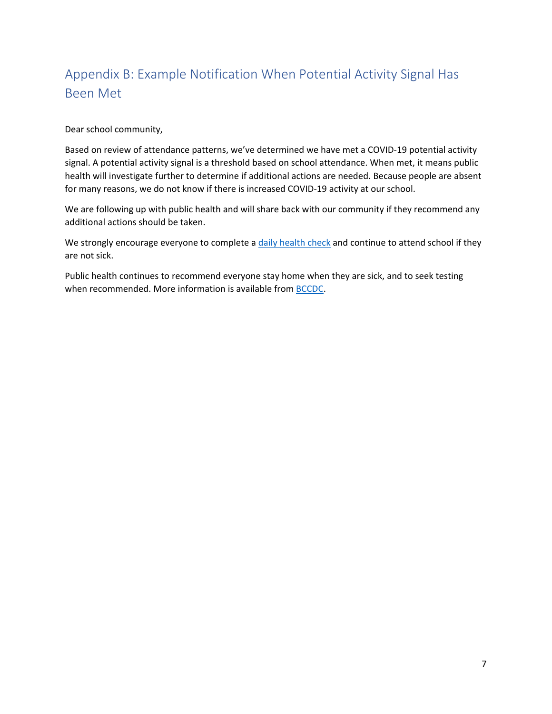# <span id="page-6-0"></span>Appendix B: Example Notification When Potential Activity Signal Has Been Met

Dear school community,

Based on review of attendance patterns, we've determined we have met a COVID-19 potential activity signal. A potential activity signal is a threshold based on school attendance. When met, it means public health will investigate further to determine if additional actions are needed. Because people are absent for many reasons, we do not know if there is increased COVID-19 activity at our school.

We are following up with public health and will share back with our community if they recommend any additional actions should be taken.

We strongly encourage everyone to complete [a daily health check](https://bc.thrive.health/) and continue to attend school if they are not sick.

Public health continues to recommend everyone stay home when they are sick, and to seek testing when recommended. More information is available from **BCCDC**.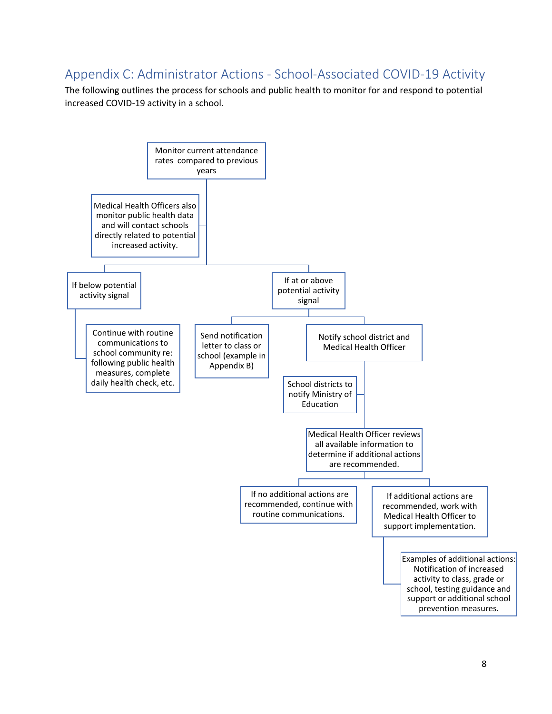## <span id="page-7-0"></span>Appendix C: Administrator Actions - School-Associated COVID-19 Activity

The following outlines the process for schools and public health to monitor for and respond to potential increased COVID-19 activity in a school.